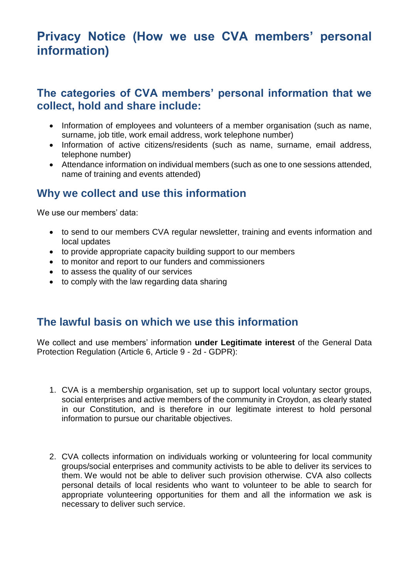## **Privacy Notice (How we use CVA members' personal information)**

#### **The categories of CVA members' personal information that we collect, hold and share include:**

- Information of employees and volunteers of a member organisation (such as name, surname, job title, work email address, work telephone number)
- Information of active citizens/residents (such as name, surname, email address, telephone number)
- Attendance information on individual members (such as one to one sessions attended, name of training and events attended)

#### **Why we collect and use this information**

We use our members' data:

- to send to our members CVA regular newsletter, training and events information and local updates
- to provide appropriate capacity building support to our members
- to monitor and report to our funders and commissioners
- to assess the quality of our services
- to comply with the law regarding data sharing

#### **The lawful basis on which we use this information**

We collect and use members' information **under Legitimate interest** of the General Data Protection Regulation (Article 6, Article 9 - 2d - GDPR):

- 1. CVA is a membership organisation, set up to support local voluntary sector groups, social enterprises and active members of the community in Croydon, as clearly stated in our Constitution, and is therefore in our legitimate interest to hold personal information to pursue our charitable objectives.
- 2. CVA collects information on individuals working or volunteering for local community groups/social enterprises and community activists to be able to deliver its services to them. We would not be able to deliver such provision otherwise. CVA also collects personal details of local residents who want to volunteer to be able to search for appropriate volunteering opportunities for them and all the information we ask is necessary to deliver such service.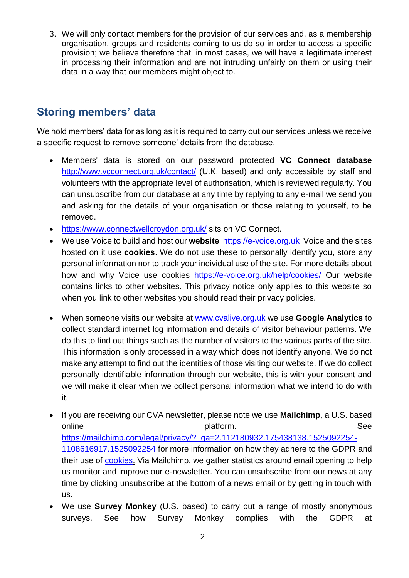3. We will only contact members for the provision of our services and, as a membership organisation, groups and residents coming to us do so in order to access a specific provision; we believe therefore that, in most cases, we will have a legitimate interest in processing their information and are not intruding unfairly on them or using their data in a way that our members might object to.

## **Storing members' data**

We hold members' data for as long as it is required to carry out our services unless we receive a specific request to remove someone' details from the database.

- Members' data is stored on our password protected **VC Connect database** <http://www.vcconnect.org.uk/contact/> (U.K. based) and only accessible by staff and volunteers with the appropriate level of authorisation, which is reviewed regularly. You can unsubscribe from our database at any time by replying to any e-mail we send you and asking for the details of your organisation or those relating to yourself, to be removed.
- <https://www.connectwellcroydon.org.uk/> sits on VC Connect.
- We use Voice to build and host our **website** [https://e-voice.org.uk](https://e-voice.org.uk/) Voice and the sites hosted on it use **[cookies](https://www.communitylinksbromley.org.uk/privacy-policy/#cookies)**. We do not use these to personally identify you, store any personal information nor to track your individual use of the site. For more details about [how and why Voice use cookies](https://e-voice.org.uk/help/cookies/) <https://e-voice.org.uk/help/cookies/> Our website contains links to other websites. This privacy notice only applies to this website so when you link to other websites you should read their privacy policies.
- When someone visits our website at [www.cvalive.org.uk](http://www.cvalive.org.uk/) we use **Google Analytics** to collect standard internet log information and details of visitor behaviour patterns. We do this to find out things such as the number of visitors to the various parts of the site. This information is only processed in a way which does not identify anyone. We do not make any attempt to find out the identities of those visiting our website. If we do collect personally identifiable information through our website, this is with your consent and we will make it clear when we collect personal information what we intend to do with it.
- If you are receiving our CVA newsletter, please note we use **Mailchimp**, a U.S. based online states of the platform. The platform of the second second second second second second second second second second second second second second second second second second second second second second second second sec [https://mailchimp.com/legal/privacy/?\\_ga=2.112180932.175438138.1525092254-](https://mailchimp.com/legal/privacy/?_ga=2.112180932.175438138.1525092254-1108616917.1525092254) [1108616917.1525092254](https://mailchimp.com/legal/privacy/?_ga=2.112180932.175438138.1525092254-1108616917.1525092254) for more information on how they adhere to the GDPR and their use of [cookies.](https://mailchimp.com/legal/cookies/) Via Mailchimp, we gather statistics around email opening to help us monitor and improve our e-newsletter. You can unsubscribe from our news at any time by clicking unsubscribe at the bottom of a news email or by getting in touch with us.
- We use **Survey Monkey** (U.S. based) to carry out a range of mostly anonymous surveys. See how Survey Monkey complies with the GDPR at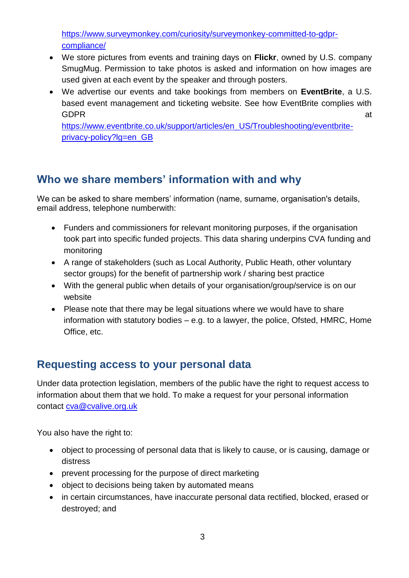[https://www.surveymonkey.com/curiosity/surveymonkey-committed-to-gdpr](https://www.surveymonkey.com/curiosity/surveymonkey-committed-to-gdpr-compliance/)[compliance/](https://www.surveymonkey.com/curiosity/surveymonkey-committed-to-gdpr-compliance/)

- We store pictures from events and training days on **Flickr**, owned by U.S. company SmugMug. Permission to take photos is asked and information on how images are used given at each event by the speaker and through posters.
- We advertise our events and take bookings from members on **EventBrite**, a U.S. based event management and ticketing website. See how EventBrite complies with GDPR at a state of the contract of the contract of the contract of the contract of the contract of the contract of the contract of the contract of the contract of the contract of the contract of the contract of the contrac

https://www.eventbrite.co.uk/support/articles/en\_US/Troubleshooting/eventbriteprivacy-policy?lg=en\_GB

## **Who we share members' information with and why**

We can be asked to share members' information (name, surname, organisation's details, email address, telephone numberwith:

- Funders and commissioners for relevant monitoring purposes, if the organisation took part into specific funded projects. This data sharing underpins CVA funding and monitoring
- A range of stakeholders (such as Local Authority, Public Heath, other voluntary sector groups) for the benefit of partnership work / sharing best practice
- With the general public when details of your organisation/group/service is on our website
- Please note that there may be legal situations where we would have to share information with statutory bodies – e.g. to a lawyer, the police, Ofsted, HMRC, Home Office, etc.

### **Requesting access to your personal data**

Under data protection legislation, members of the public have the right to request access to information about them that we hold. To make a request for your personal information contact [cva@cvalive.org.uk](mailto:cva@cvalive.org.uk) 

You also have the right to:

- object to processing of personal data that is likely to cause, or is causing, damage or distress
- prevent processing for the purpose of direct marketing
- object to decisions being taken by automated means
- in certain circumstances, have inaccurate personal data rectified, blocked, erased or destroyed; and